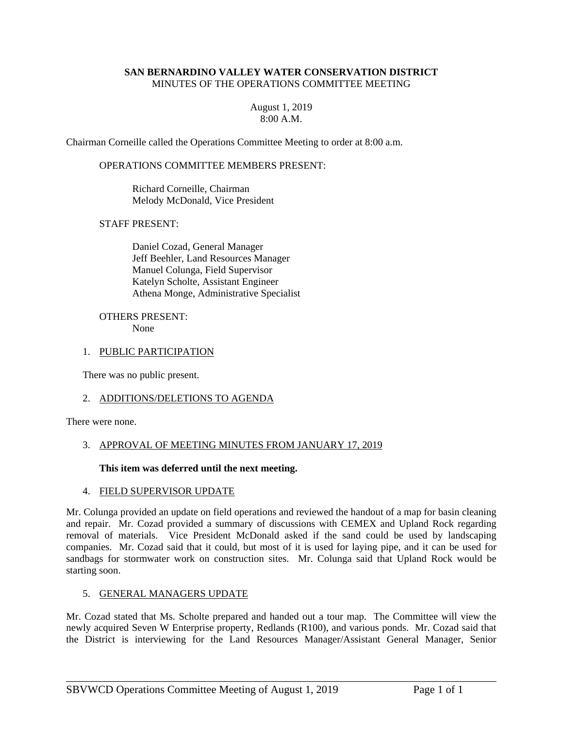#### **SAN BERNARDINO VALLEY WATER CONSERVATION DISTRICT**  MINUTES OF THE OPERATIONS COMMITTEE MEETING

### August 1, 2019 8:00 A.M.

Chairman Corneille called the Operations Committee Meeting to order at 8:00 a.m.

OPERATIONS COMMITTEE MEMBERS PRESENT:

 Richard Corneille, Chairman Melody McDonald, Vice President

### STAFF PRESENT:

 Daniel Cozad, General Manager Jeff Beehler, Land Resources Manager Manuel Colunga, Field Supervisor Katelyn Scholte, Assistant Engineer Athena Monge, Administrative Specialist

#### OTHERS PRESENT: None

# 1. PUBLIC PARTICIPATION

There was no public present.

#### 2. ADDITIONS/DELETIONS TO AGENDA

There were none.

## 3. APPROVAL OF MEETING MINUTES FROM JANUARY 17, 2019

#### **This item was deferred until the next meeting.**

#### 4. FIELD SUPERVISOR UPDATE

Mr. Colunga provided an update on field operations and reviewed the handout of a map for basin cleaning and repair. Mr. Cozad provided a summary of discussions with CEMEX and Upland Rock regarding removal of materials. Vice President McDonald asked if the sand could be used by landscaping companies. Mr. Cozad said that it could, but most of it is used for laying pipe, and it can be used for sandbags for stormwater work on construction sites. Mr. Colunga said that Upland Rock would be starting soon.

#### 5. GENERAL MANAGERS UPDATE

Mr. Cozad stated that Ms. Scholte prepared and handed out a tour map. The Committee will view the newly acquired Seven W Enterprise property, Redlands (R100), and various ponds. Mr. Cozad said that the District is interviewing for the Land Resources Manager/Assistant General Manager, Senior

\_\_\_\_\_\_\_\_\_\_\_\_\_\_\_\_\_\_\_\_\_\_\_\_\_\_\_\_\_\_\_\_\_\_\_\_\_\_\_\_\_\_\_\_\_\_\_\_\_\_\_\_\_\_\_\_\_\_\_\_\_\_\_\_\_\_\_\_\_\_\_\_\_\_\_\_\_\_